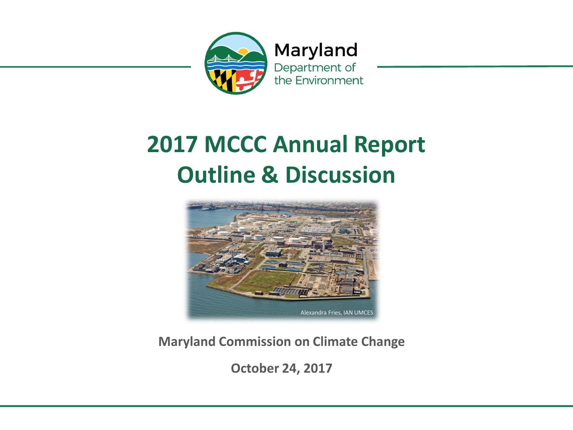

#### **2017 MCCC Annual Report Outline & Discussion**



**Maryland Commission on Climate Change**

**October 24, 2017**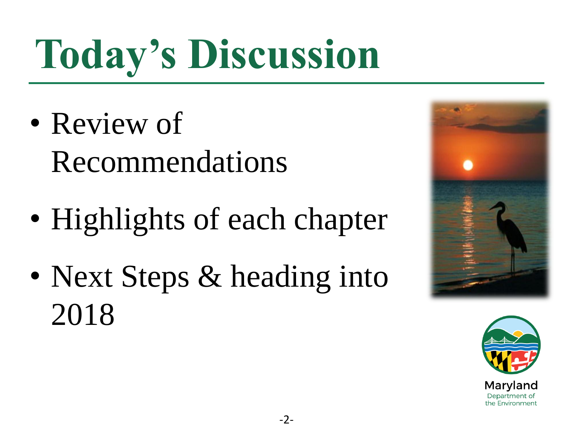# **Today's Discussion**

- Review of Recommendations
- Highlights of each chapter
- Next Steps & heading into 2018



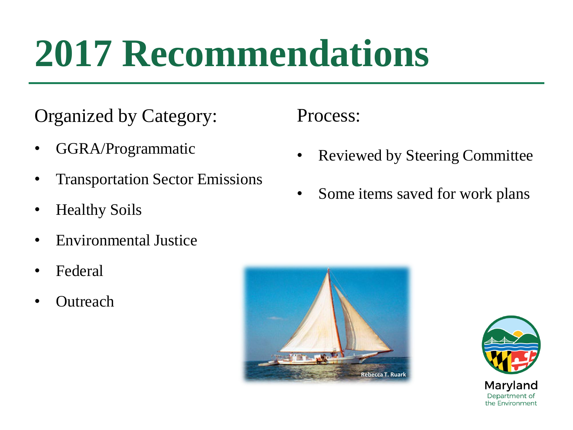## **2017 Recommendations**

#### Organized by Category:

- GGRA/Programmatic
- Transportation Sector Emissions
- Healthy Soils
- Environmental Justice
- Federal
- **Outreach**

Process:

- Reviewed by Steering Committee
- Some items saved for work plans



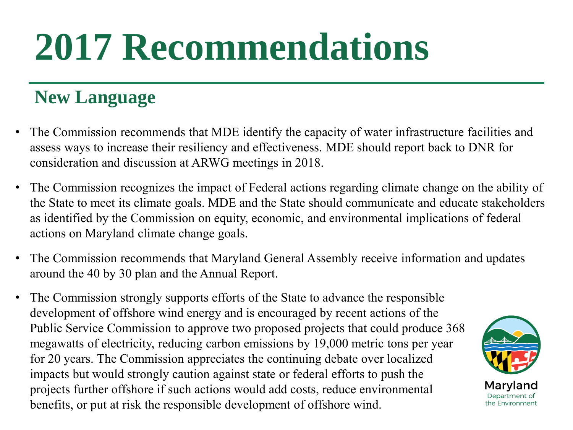## **2017 Recommendations**

#### **New Language**

- The Commission recommends that MDE identify the capacity of water infrastructure facilities and assess ways to increase their resiliency and effectiveness. MDE should report back to DNR for consideration and discussion at ARWG meetings in 2018.
- The Commission recognizes the impact of Federal actions regarding climate change on the ability of the State to meet its climate goals. MDE and the State should communicate and educate stakeholders as identified by the Commission on equity, economic, and environmental implications of federal actions on Maryland climate change goals.
- The Commission recommends that Maryland General Assembly receive information and updates around the 40 by 30 plan and the Annual Report.
- The Commission strongly supports efforts of the State to advance the responsible development of offshore wind energy and is encouraged by recent actions of the Public Service Commission to approve two proposed projects that could produce 368 megawatts of electricity, reducing carbon emissions by 19,000 metric tons per year for 20 years. The Commission appreciates the continuing debate over localized impacts but would strongly caution against state or federal efforts to push the projects further offshore if such actions would add costs, reduce environmental benefits, or put at risk the responsible development of offshore wind.

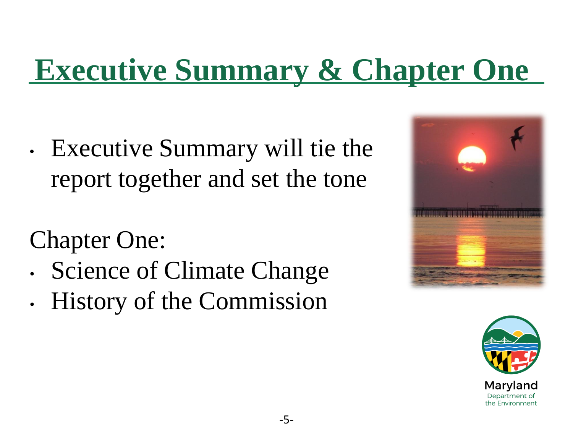### **Executive Summary & Chapter One**

• Executive Summary will tie the report together and set the tone

### Chapter One:

- Science of Climate Change
- History of the Commission



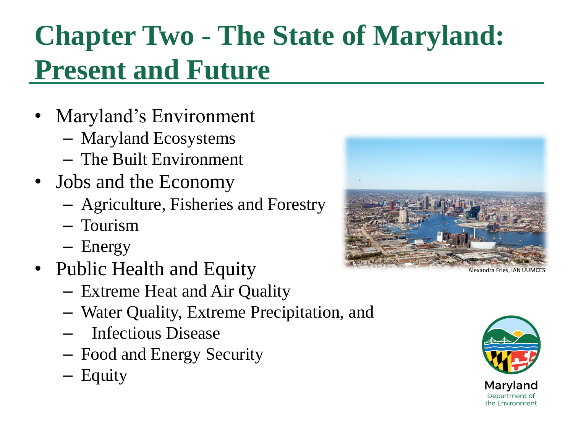### **Chapter Two - The State of Maryland: Present and Future**

- Maryland's Environment
	- Maryland Ecosystems
	- The Built Environment
- Jobs and the Economy
	- Agriculture, Fisheries and Forestry
	- Tourism
	- Energy
- Public Health and Equity
	- Extreme Heat and Air Quality
	- Water Quality, Extreme Precipitation, and
	- Infectious Disease
	- Food and Energy Security
	- Equity



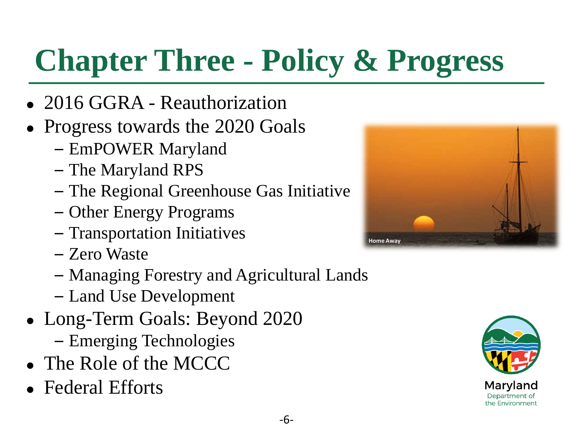### **Chapter Three - Policy & Progress**

- 2016 GGRA Reauthorization
- Progress towards the 2020 Goals
	- EmPOWER Maryland
	- The Maryland RPS
	- The Regional Greenhouse Gas Initiative
	- Other Energy Programs
	- Transportation Initiatives
	- Zero Waste
	- Managing Forestry and Agricultural Lands
	- Land Use Development
- Long-Term Goals: Beyond 2020
	- Emerging Technologies
- The Role of the MCCC
- Federal Efforts



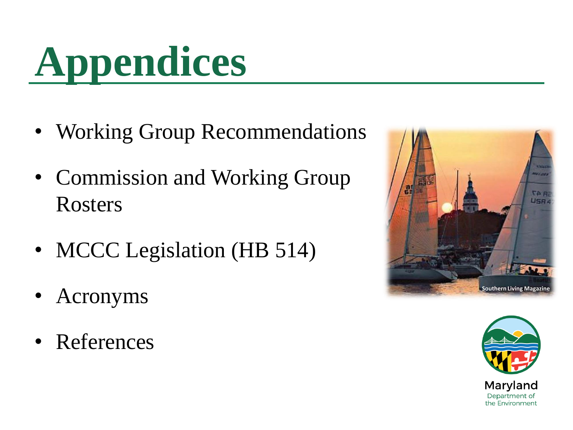

- Working Group Recommendations
- Commission and Working Group Rosters
- MCCC Legislation (HB 514)
- Acronyms
- References